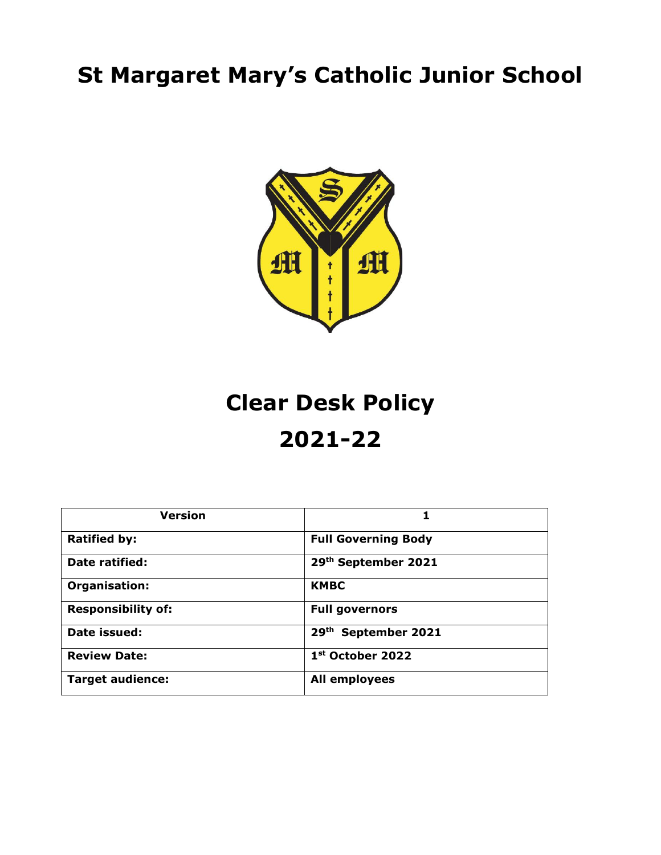# **St Margaret Mary's Catholic Junior School**



# **Clear Desk Policy 2021-22**

| <b>Version</b>            |                            |
|---------------------------|----------------------------|
| <b>Ratified by:</b>       | <b>Full Governing Body</b> |
| Date ratified:            | 29th September 2021        |
| Organisation:             | <b>KMBC</b>                |
| <b>Responsibility of:</b> | <b>Full governors</b>      |
| Date issued:              | 29th September 2021        |
| <b>Review Date:</b>       | 1st October 2022           |
| <b>Target audience:</b>   | <b>All employees</b>       |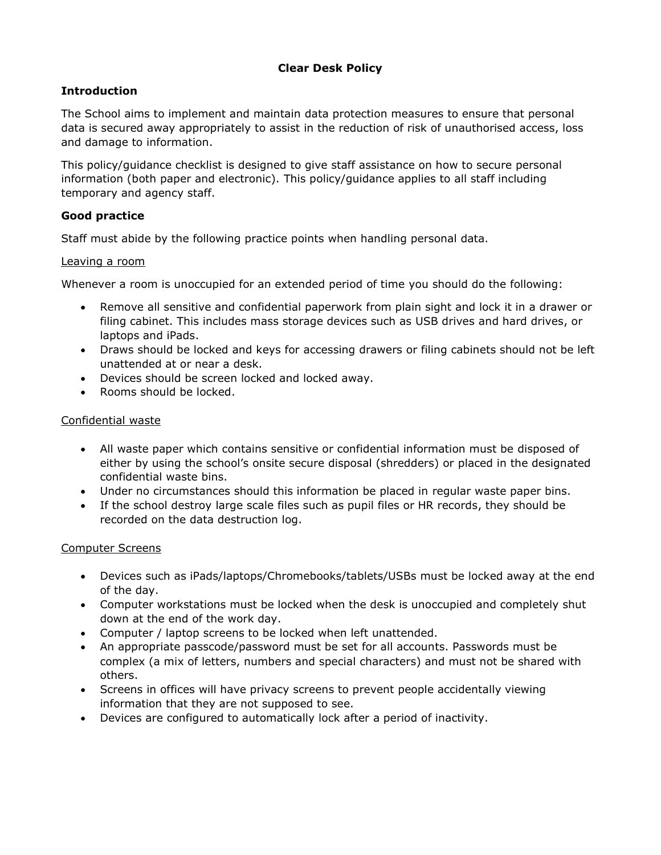# **Clear Desk Policy**

# **Introduction**

The School aims to implement and maintain data protection measures to ensure that personal data is secured away appropriately to assist in the reduction of risk of unauthorised access, loss and damage to information.

This policy/guidance checklist is designed to give staff assistance on how to secure personal information (both paper and electronic). This policy/guidance applies to all staff including temporary and agency staff.

# **Good practice**

Staff must abide by the following practice points when handling personal data.

#### Leaving a room

Whenever a room is unoccupied for an extended period of time you should do the following:

- Remove all sensitive and confidential paperwork from plain sight and lock it in a drawer or filing cabinet. This includes mass storage devices such as USB drives and hard drives, or laptops and iPads.
- Draws should be locked and keys for accessing drawers or filing cabinets should not be left unattended at or near a desk.
- Devices should be screen locked and locked away.
- Rooms should be locked.

#### Confidential waste

- All waste paper which contains sensitive or confidential information must be disposed of either by using the school's onsite secure disposal (shredders) or placed in the designated confidential waste bins.
- Under no circumstances should this information be placed in regular waste paper bins.
- If the school destroy large scale files such as pupil files or HR records, they should be recorded on the data destruction log.

#### Computer Screens

- Devices such as iPads/laptops/Chromebooks/tablets/USBs must be locked away at the end of the day.
- Computer workstations must be locked when the desk is unoccupied and completely shut down at the end of the work day.
- Computer / laptop screens to be locked when left unattended.
- An appropriate passcode/password must be set for all accounts. Passwords must be complex (a mix of letters, numbers and special characters) and must not be shared with others.
- Screens in offices will have privacy screens to prevent people accidentally viewing information that they are not supposed to see.
- Devices are configured to automatically lock after a period of inactivity.